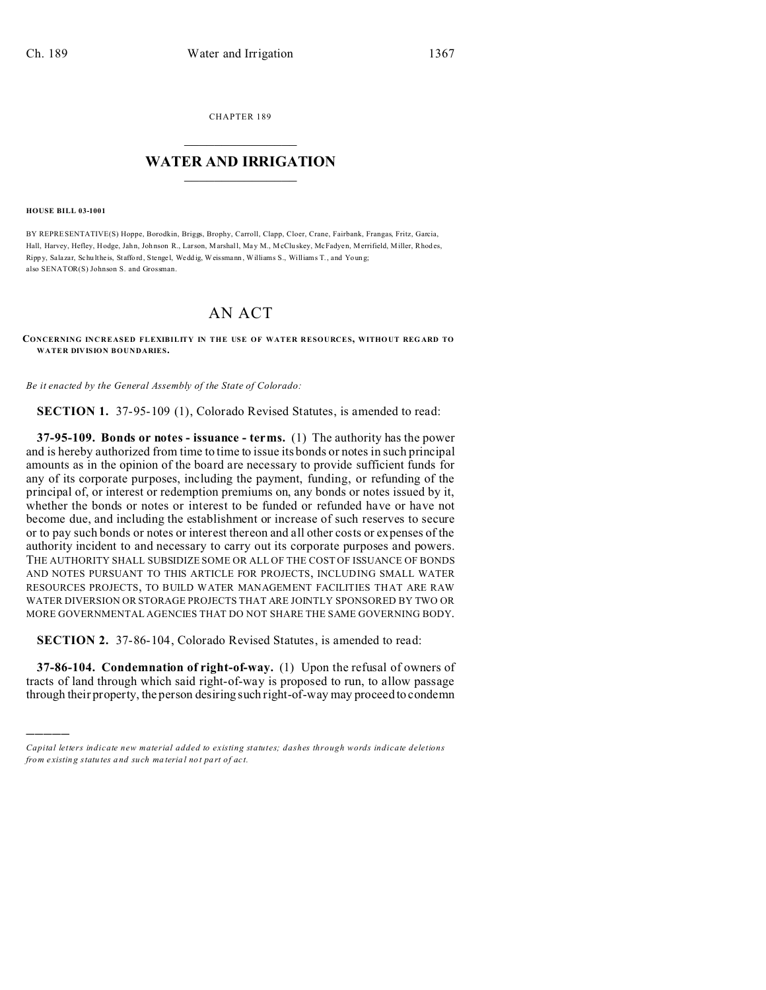CHAPTER 189  $\overline{\phantom{a}}$  , where  $\overline{\phantom{a}}$ 

## **WATER AND IRRIGATION**  $\_$   $\_$   $\_$   $\_$   $\_$   $\_$   $\_$   $\_$   $\_$

**HOUSE BILL 03-1001**

)))))

BY REPRESENTATIVE(S) Hoppe, Borodkin, Briggs, Brophy, Carroll, Clapp, Cloer, Crane, Fairbank, Frangas, Fritz, Garcia, Hall, Harvey, Hefley, Hodge, Jahn, Johnson R., Larson, Marshall, May M., McCluskey, McFadyen, Merrifield, Miller, Rhodes, Ripp y, Salazar, Schu lthe is, Staffo rd, Stenge l, Wedd ig, Weissmann , Williams S., Williams T., and Youn g; also SENATOR(S) Johnson S. and Grossman.

## AN ACT

## **CONCERNING INCREASED FLEXIBILITY IN THE USE OF WATER RESOURCES, WITHOUT REG ARD TO WATER DIVISION BOUNDARIES.**

*Be it enacted by the General Assembly of the State of Colorado:*

**SECTION 1.** 37-95-109 (1), Colorado Revised Statutes, is amended to read:

**37-95-109. Bonds or notes - issuance - terms.** (1) The authority has the power and is hereby authorized from time to time to issue its bonds or notes in such principal amounts as in the opinion of the board are necessary to provide sufficient funds for any of its corporate purposes, including the payment, funding, or refunding of the principal of, or interest or redemption premiums on, any bonds or notes issued by it, whether the bonds or notes or interest to be funded or refunded have or have not become due, and including the establishment or increase of such reserves to secure or to pay such bonds or notes or interest thereon and all other costs or expenses of the authority incident to and necessary to carry out its corporate purposes and powers. THE AUTHORITY SHALL SUBSIDIZE SOME OR ALL OF THE COST OF ISSUANCE OF BONDS AND NOTES PURSUANT TO THIS ARTICLE FOR PROJECTS, INCLUDING SMALL WATER RESOURCES PROJECTS, TO BUILD WATER MANAGEMENT FACILITIES THAT ARE RAW WATER DIVERSION OR STORAGE PROJECTS THAT ARE JOINTLY SPONSORED BY TWO OR MORE GOVERNMENTAL AGENCIES THAT DO NOT SHARE THE SAME GOVERNING BODY.

**SECTION 2.** 37-86-104, Colorado Revised Statutes, is amended to read:

**37-86-104. Condemnation of right-of-way.** (1) Upon the refusal of owners of tracts of land through which said right-of-way is proposed to run, to allow passage through their property, the person desiring such right-of-way may proceed to condemn

*Capital letters indicate new material added to existing statutes; dashes through words indicate deletions from e xistin g statu tes a nd such ma teria l no t pa rt of ac t.*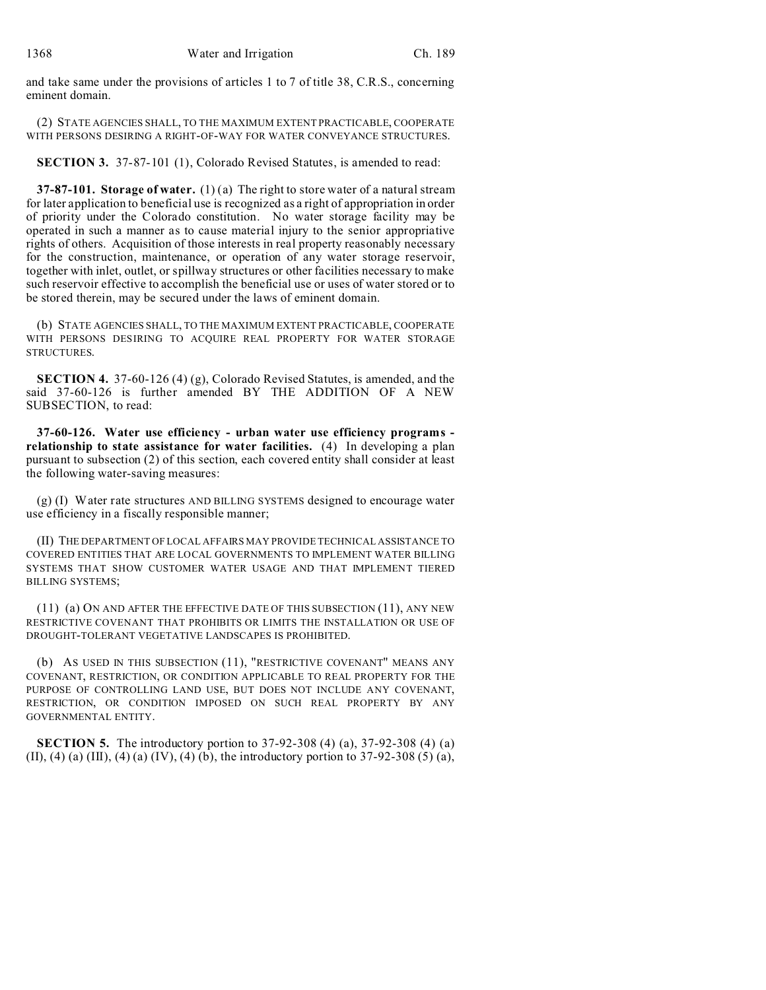and take same under the provisions of articles 1 to 7 of title 38, C.R.S., concerning eminent domain.

(2) STATE AGENCIES SHALL, TO THE MAXIMUM EXTENT PRACTICABLE, COOPERATE WITH PERSONS DESIRING A RIGHT-OF-WAY FOR WATER CONVEYANCE STRUCTURES.

**SECTION 3.** 37-87-101 (1), Colorado Revised Statutes, is amended to read:

**37-87-101. Storage of water.** (1) (a) The right to store water of a natural stream for later application to beneficial use is recognized as a right of appropriation in order of priority under the Colorado constitution. No water storage facility may be operated in such a manner as to cause material injury to the senior appropriative rights of others. Acquisition of those interests in real property reasonably necessary for the construction, maintenance, or operation of any water storage reservoir, together with inlet, outlet, or spillway structures or other facilities necessary to make such reservoir effective to accomplish the beneficial use or uses of water stored or to be stored therein, may be secured under the laws of eminent domain.

(b) STATE AGENCIES SHALL, TO THE MAXIMUM EXTENT PRACTICABLE, COOPERATE WITH PERSONS DESIRING TO ACQUIRE REAL PROPERTY FOR WATER STORAGE STRUCTURES.

**SECTION 4.** 37-60-126 (4) (g), Colorado Revised Statutes, is amended, and the said 37-60-126 is further amended BY THE ADDITION OF A NEW SUBSECTION, to read:

**37-60-126. Water use efficiency - urban water use efficiency programs relationship to state assistance for water facilities.** (4) In developing a plan pursuant to subsection (2) of this section, each covered entity shall consider at least the following water-saving measures:

(g) (I) Water rate structures AND BILLING SYSTEMS designed to encourage water use efficiency in a fiscally responsible manner;

(II) THE DEPARTMENT OF LOCAL AFFAIRS MAY PROVIDE TECHNICAL ASSISTANCE TO COVERED ENTITIES THAT ARE LOCAL GOVERNMENTS TO IMPLEMENT WATER BILLING SYSTEMS THAT SHOW CUSTOMER WATER USAGE AND THAT IMPLEMENT TIERED BILLING SYSTEMS;

(11) (a) ON AND AFTER THE EFFECTIVE DATE OF THIS SUBSECTION (11), ANY NEW RESTRICTIVE COVENANT THAT PROHIBITS OR LIMITS THE INSTALLATION OR USE OF DROUGHT-TOLERANT VEGETATIVE LANDSCAPES IS PROHIBITED.

(b) AS USED IN THIS SUBSECTION (11), "RESTRICTIVE COVENANT" MEANS ANY COVENANT, RESTRICTION, OR CONDITION APPLICABLE TO REAL PROPERTY FOR THE PURPOSE OF CONTROLLING LAND USE, BUT DOES NOT INCLUDE ANY COVENANT, RESTRICTION, OR CONDITION IMPOSED ON SUCH REAL PROPERTY BY ANY GOVERNMENTAL ENTITY.

**SECTION 5.** The introductory portion to 37-92-308 (4) (a), 37-92-308 (4) (a) (II), (4) (a) (III), (4) (a) (IV), (4) (b), the introductory portion to  $37-92-308(5)$  (a),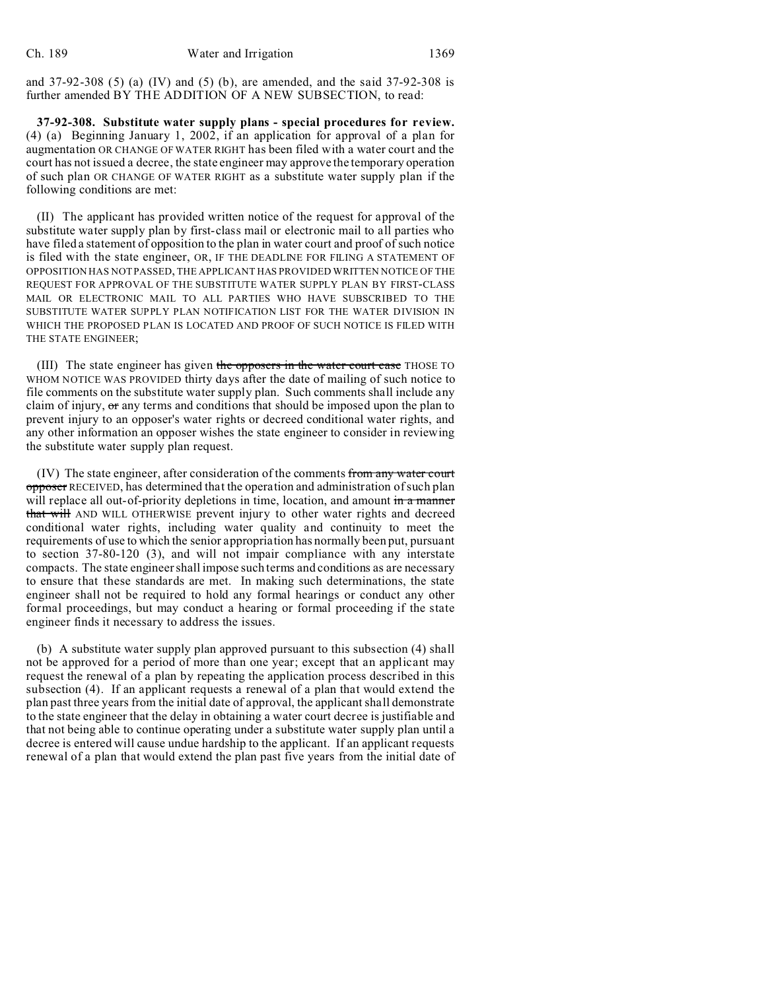and  $37-92-308$  (5) (a) (IV) and (5) (b), are amended, and the said  $37-92-308$  is further amended BY THE ADDITION OF A NEW SUBSECTION, to read:

**37-92-308. Substitute water supply plans - special procedures for review.** (4) (a) Beginning January 1, 2002, if an application for approval of a plan for augmentation OR CHANGE OF WATER RIGHT has been filed with a water court and the court has not issued a decree, the state engineer may approve the temporary operation of such plan OR CHANGE OF WATER RIGHT as a substitute water supply plan if the following conditions are met:

(II) The applicant has provided written notice of the request for approval of the substitute water supply plan by first-class mail or electronic mail to all parties who have filed a statement of opposition to the plan in water court and proof of such notice is filed with the state engineer, OR, IF THE DEADLINE FOR FILING A STATEMENT OF OPPOSITION HAS NOT PASSED, THE APPLICANT HAS PROVIDED WRITTEN NOTICE OF THE REQUEST FOR APPROVAL OF THE SUBSTITUTE WATER SUPPLY PLAN BY FIRST-CLASS MAIL OR ELECTRONIC MAIL TO ALL PARTIES WHO HAVE SUBSCRIBED TO THE SUBSTITUTE WATER SUPPLY PLAN NOTIFICATION LIST FOR THE WATER DIVISION IN WHICH THE PROPOSED PLAN IS LOCATED AND PROOF OF SUCH NOTICE IS FILED WITH THE STATE ENGINEER;

(III) The state engineer has given the opposers in the water court case THOSE TO WHOM NOTICE WAS PROVIDED thirty days after the date of mailing of such notice to file comments on the substitute water supply plan. Such comments shall include any claim of injury,  $\sigma r$  any terms and conditions that should be imposed upon the plan to prevent injury to an opposer's water rights or decreed conditional water rights, and any other information an opposer wishes the state engineer to consider in reviewing the substitute water supply plan request.

(IV) The state engineer, after consideration of the comments from any water court opposer RECEIVED, has determined that the operation and administration of such plan will replace all out-of-priority depletions in time, location, and amount in a manner that will AND WILL OTHERWISE prevent injury to other water rights and decreed conditional water rights, including water quality and continuity to meet the requirements of use to which the senior appropriation has normally been put, pursuant to section 37-80-120 (3), and will not impair compliance with any interstate compacts. The state engineer shall impose such terms and conditions as are necessary to ensure that these standards are met. In making such determinations, the state engineer shall not be required to hold any formal hearings or conduct any other formal proceedings, but may conduct a hearing or formal proceeding if the state engineer finds it necessary to address the issues.

(b) A substitute water supply plan approved pursuant to this subsection (4) shall not be approved for a period of more than one year; except that an applicant may request the renewal of a plan by repeating the application process described in this subsection (4). If an applicant requests a renewal of a plan that would extend the plan past three years from the initial date of approval, the applicant shall demonstrate to the state engineer that the delay in obtaining a water court decree is justifiable and that not being able to continue operating under a substitute water supply plan until a decree is entered will cause undue hardship to the applicant. If an applicant requests renewal of a plan that would extend the plan past five years from the initial date of